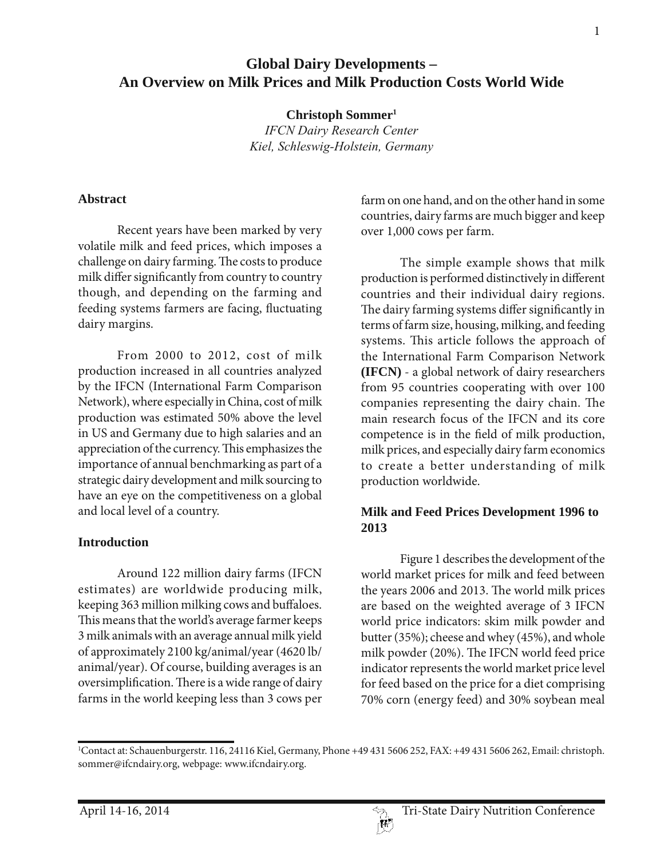# **Global Dairy Developments – An Overview on Milk Prices and Milk Production Costs World Wide**

**Christoph Sommer1**

*IFCN Dairy Research Center Kiel, Schleswig-Holstein, Germany*

#### **Abstract**

Recent years have been marked by very volatile milk and feed prices, which imposes a challenge on dairy farming. The costs to produce milk differ significantly from country to country though, and depending on the farming and feeding systems farmers are facing, fluctuating dairy margins.

From 2000 to 2012, cost of milk production increased in all countries analyzed by the IFCN (International Farm Comparison Network), where especially in China, cost of milk production was estimated 50% above the level in US and Germany due to high salaries and an appreciation of the currency. This emphasizes the importance of annual benchmarking as part of a strategic dairy development and milk sourcing to have an eye on the competitiveness on a global and local level of a country.

# **Introduction**

Around 122 million dairy farms (IFCN estimates) are worldwide producing milk, keeping 363 million milking cows and buffaloes. This means that the world's average farmer keeps 3 milk animals with an average annual milk yield of approximately 2100 kg/animal/year (4620 lb/ animal/year). Of course, building averages is an oversimplification. There is a wide range of dairy farms in the world keeping less than 3 cows per

farm on one hand, and on the other hand in some countries, dairy farms are much bigger and keep over 1,000 cows per farm.

The simple example shows that milk production is performed distinctively in different countries and their individual dairy regions. The dairy farming systems differ significantly in terms of farm size, housing, milking, and feeding systems. This article follows the approach of the International Farm Comparison Network **(IFCN)** - a global network of dairy researchers from 95 countries cooperating with over 100 companies representing the dairy chain. The main research focus of the IFCN and its core competence is in the field of milk production, milk prices, and especially dairy farm economics to create a better understanding of milk production worldwide.

# **Milk and Feed Prices Development 1996 to 2013**

Figure 1 describes the development of the world market prices for milk and feed between the years 2006 and 2013. The world milk prices are based on the weighted average of 3 IFCN world price indicators: skim milk powder and butter (35%); cheese and whey (45%), and whole milk powder (20%). The IFCN world feed price indicator represents the world market price level for feed based on the price for a diet comprising 70% corn (energy feed) and 30% soybean meal

<sup>1</sup> Contact at: Schauenburgerstr. 116, 24116 Kiel, Germany, Phone +49 431 5606 252, FAX: +49 431 5606 262, Email: christoph. sommer@ifcndairy.org, webpage: www.ifcndairy.org.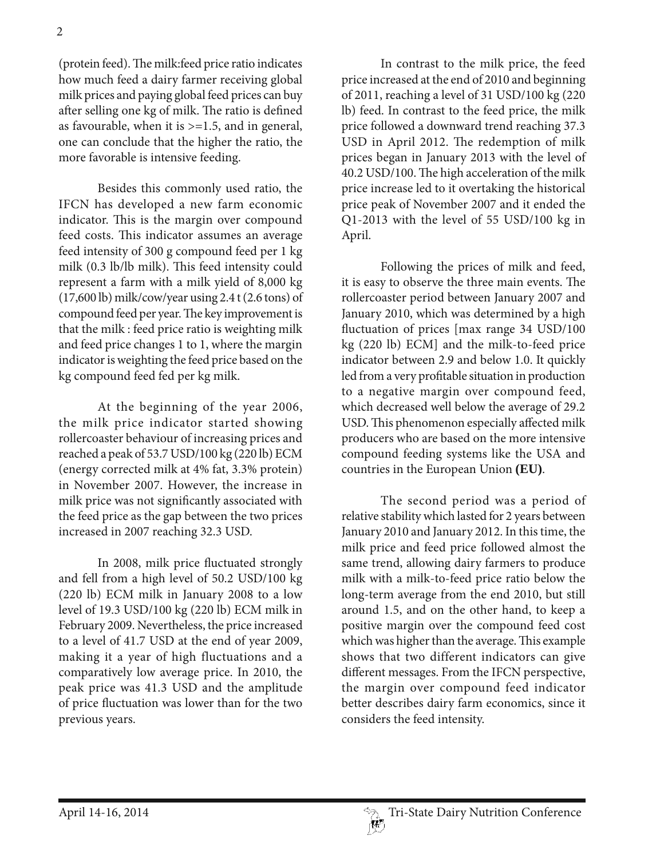(protein feed). The milk:feed price ratio indicates how much feed a dairy farmer receiving global milk prices and paying global feed prices can buy after selling one kg of milk. The ratio is defined as favourable, when it is  $>=1.5$ , and in general, one can conclude that the higher the ratio, the more favorable is intensive feeding.

Besides this commonly used ratio, the IFCN has developed a new farm economic indicator. This is the margin over compound feed costs. This indicator assumes an average feed intensity of 300 g compound feed per 1 kg milk (0.3 lb/lb milk). This feed intensity could represent a farm with a milk yield of 8,000 kg (17,600 lb) milk/cow/year using 2.4 t (2.6 tons) of compound feed per year. The key improvement is that the milk : feed price ratio is weighting milk and feed price changes 1 to 1, where the margin indicator is weighting the feed price based on the kg compound feed fed per kg milk.

At the beginning of the year 2006, the milk price indicator started showing rollercoaster behaviour of increasing prices and reached a peak of 53.7 USD/100 kg (220 lb) ECM (energy corrected milk at 4% fat, 3.3% protein) in November 2007. However, the increase in milk price was not significantly associated with the feed price as the gap between the two prices increased in 2007 reaching 32.3 USD.

In 2008, milk price fluctuated strongly and fell from a high level of 50.2 USD/100 kg (220 lb) ECM milk in January 2008 to a low level of 19.3 USD/100 kg (220 lb) ECM milk in February 2009. Nevertheless, the price increased to a level of 41.7 USD at the end of year 2009, making it a year of high fluctuations and a comparatively low average price. In 2010, the peak price was 41.3 USD and the amplitude of price fluctuation was lower than for the two previous years.

In contrast to the milk price, the feed price increased at the end of 2010 and beginning of 2011, reaching a level of 31 USD/100 kg (220 lb) feed. In contrast to the feed price, the milk price followed a downward trend reaching 37.3 USD in April 2012. The redemption of milk prices began in January 2013 with the level of 40.2 USD/100. The high acceleration of the milk price increase led to it overtaking the historical price peak of November 2007 and it ended the Q1-2013 with the level of 55 USD/100 kg in April.

Following the prices of milk and feed, it is easy to observe the three main events. The rollercoaster period between January 2007 and January 2010, which was determined by a high fluctuation of prices [max range 34 USD/100 kg (220 lb) ECM] and the milk-to-feed price indicator between 2.9 and below 1.0. It quickly led from a very profitable situation in production to a negative margin over compound feed, which decreased well below the average of 29.2 USD. This phenomenon especially affected milk producers who are based on the more intensive compound feeding systems like the USA and countries in the European Union **(EU)**.

The second period was a period of relative stability which lasted for 2 years between January 2010 and January 2012. In this time, the milk price and feed price followed almost the same trend, allowing dairy farmers to produce milk with a milk-to-feed price ratio below the long-term average from the end 2010, but still around 1.5, and on the other hand, to keep a positive margin over the compound feed cost which was higher than the average. This example shows that two different indicators can give different messages. From the IFCN perspective, the margin over compound feed indicator better describes dairy farm economics, since it considers the feed intensity.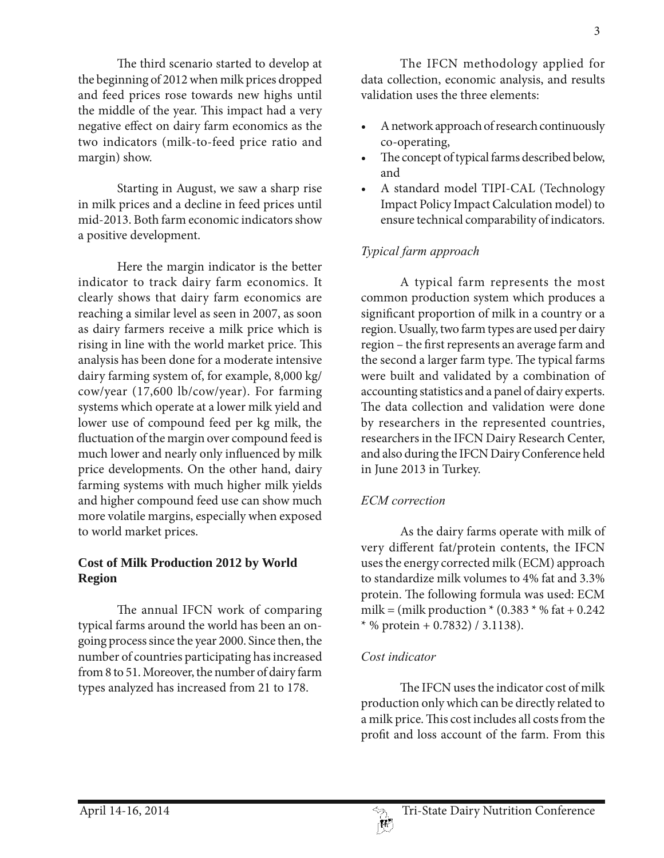The third scenario started to develop at the beginning of 2012 when milk prices dropped and feed prices rose towards new highs until the middle of the year. This impact had a very negative effect on dairy farm economics as the two indicators (milk-to-feed price ratio and margin) show.

Starting in August, we saw a sharp rise in milk prices and a decline in feed prices until mid-2013. Both farm economic indicators show a positive development.

Here the margin indicator is the better indicator to track dairy farm economics. It clearly shows that dairy farm economics are reaching a similar level as seen in 2007, as soon as dairy farmers receive a milk price which is rising in line with the world market price. This analysis has been done for a moderate intensive dairy farming system of, for example, 8,000 kg/ cow/year (17,600 lb/cow/year). For farming systems which operate at a lower milk yield and lower use of compound feed per kg milk, the fluctuation of the margin over compound feed is much lower and nearly only influenced by milk price developments. On the other hand, dairy farming systems with much higher milk yields and higher compound feed use can show much more volatile margins, especially when exposed to world market prices.

### **Cost of Milk Production 2012 by World Region**

The annual IFCN work of comparing typical farms around the world has been an ongoing process since the year 2000. Since then, the number of countries participating has increased from 8 to 51. Moreover, the number of dairy farm types analyzed has increased from 21 to 178.

The IFCN methodology applied for data collection, economic analysis, and results validation uses the three elements:

- A network approach of research continuously co-operating,
- The concept of typical farms described below, and
- A standard model TIPI-CAL (Technology Impact Policy Impact Calculation model) to ensure technical comparability of indicators.

# *Typical farm approach*

A typical farm represents the most common production system which produces a significant proportion of milk in a country or a region. Usually, two farm types are used per dairy region – the first represents an average farm and the second a larger farm type. The typical farms were built and validated by a combination of accounting statistics and a panel of dairy experts. The data collection and validation were done by researchers in the represented countries, researchers in the IFCN Dairy Research Center, and also during the IFCN Dairy Conference held in June 2013 in Turkey.

# *ECM correction*

As the dairy farms operate with milk of very different fat/protein contents, the IFCN uses the energy corrected milk (ECM) approach to standardize milk volumes to 4% fat and 3.3% protein. The following formula was used: ECM milk = (milk production  $*(0.383 * % \text{ fat} + 0.242)$  $*$  % protein + 0.7832) / 3.1138).

### *Cost indicator*

The IFCN uses the indicator cost of milk production only which can be directly related to a milk price. This cost includes all costs from the profit and loss account of the farm. From this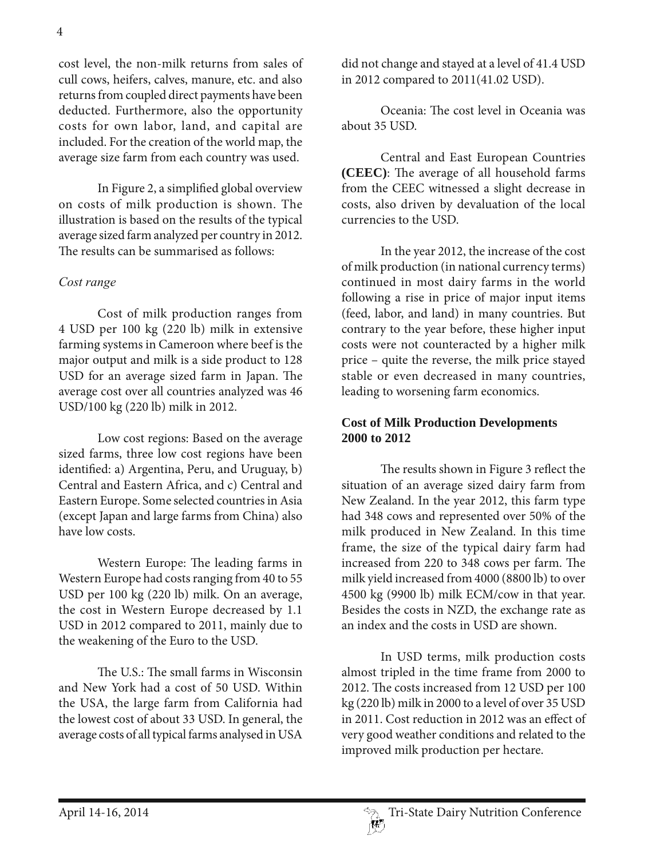cost level, the non-milk returns from sales of cull cows, heifers, calves, manure, etc. and also returns from coupled direct payments have been deducted. Furthermore, also the opportunity costs for own labor, land, and capital are included. For the creation of the world map, the average size farm from each country was used.

In Figure 2, a simplified global overview on costs of milk production is shown. The illustration is based on the results of the typical average sized farm analyzed per country in 2012. The results can be summarised as follows:

#### *Cost range*

Cost of milk production ranges from 4 USD per 100 kg (220 lb) milk in extensive farming systems in Cameroon where beef is the major output and milk is a side product to 128 USD for an average sized farm in Japan. The average cost over all countries analyzed was 46 USD/100 kg (220 lb) milk in 2012.

Low cost regions: Based on the average sized farms, three low cost regions have been identified: a) Argentina, Peru, and Uruguay, b) Central and Eastern Africa, and c) Central and Eastern Europe. Some selected countries in Asia (except Japan and large farms from China) also have low costs.

Western Europe: The leading farms in Western Europe had costs ranging from 40 to 55 USD per 100 kg (220 lb) milk. On an average, the cost in Western Europe decreased by 1.1 USD in 2012 compared to 2011, mainly due to the weakening of the Euro to the USD.

The U.S.: The small farms in Wisconsin and New York had a cost of 50 USD. Within the USA, the large farm from California had the lowest cost of about 33 USD. In general, the average costs of all typical farms analysed in USA

did not change and stayed at a level of 41.4 USD in 2012 compared to 2011(41.02 USD).

Oceania: The cost level in Oceania was about 35 USD.

Central and East European Countries **(CEEC)**: The average of all household farms from the CEEC witnessed a slight decrease in costs, also driven by devaluation of the local currencies to the USD.

In the year 2012, the increase of the cost of milk production (in national currency terms) continued in most dairy farms in the world following a rise in price of major input items (feed, labor, and land) in many countries. But contrary to the year before, these higher input costs were not counteracted by a higher milk price – quite the reverse, the milk price stayed stable or even decreased in many countries, leading to worsening farm economics.

#### **Cost of Milk Production Developments 2000 to 2012**

The results shown in Figure 3 reflect the situation of an average sized dairy farm from New Zealand. In the year 2012, this farm type had 348 cows and represented over 50% of the milk produced in New Zealand. In this time frame, the size of the typical dairy farm had increased from 220 to 348 cows per farm. The milk yield increased from 4000 (8800 lb) to over 4500 kg (9900 lb) milk ECM/cow in that year. Besides the costs in NZD, the exchange rate as an index and the costs in USD are shown.

In USD terms, milk production costs almost tripled in the time frame from 2000 to 2012. The costs increased from 12 USD per 100 kg (220 lb) milk in 2000 to a level of over 35 USD in 2011. Cost reduction in 2012 was an effect of very good weather conditions and related to the improved milk production per hectare.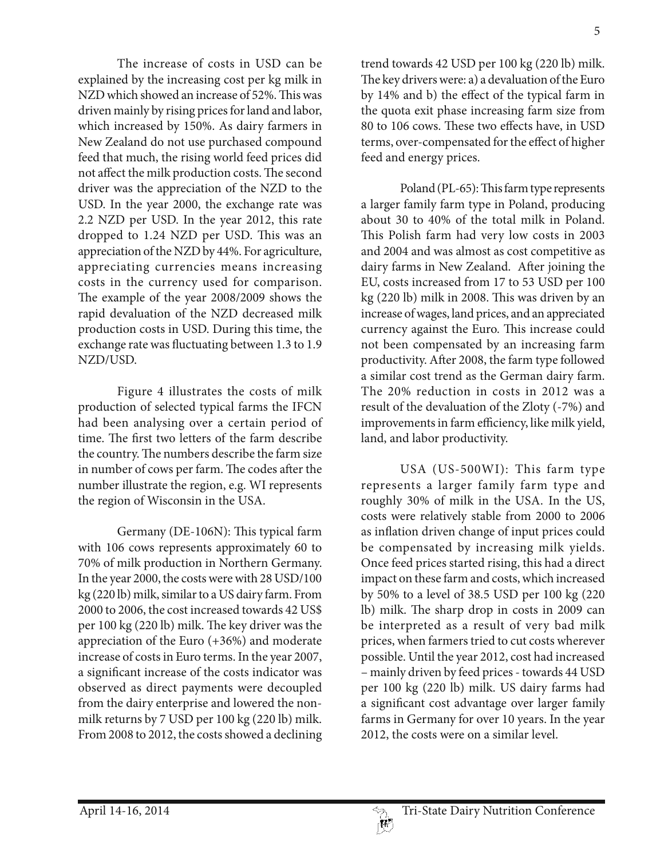The increase of costs in USD can be explained by the increasing cost per kg milk in NZD which showed an increase of 52%. This was driven mainly by rising prices for land and labor, which increased by 150%. As dairy farmers in New Zealand do not use purchased compound feed that much, the rising world feed prices did not affect the milk production costs. The second driver was the appreciation of the NZD to the USD. In the year 2000, the exchange rate was 2.2 NZD per USD. In the year 2012, this rate dropped to 1.24 NZD per USD. This was an appreciation of the NZD by 44%. For agriculture, appreciating currencies means increasing costs in the currency used for comparison. The example of the year 2008/2009 shows the rapid devaluation of the NZD decreased milk production costs in USD. During this time, the exchange rate was fluctuating between 1.3 to 1.9 NZD/USD.

Figure 4 illustrates the costs of milk production of selected typical farms the IFCN had been analysing over a certain period of time. The first two letters of the farm describe the country. The numbers describe the farm size in number of cows per farm. The codes after the number illustrate the region, e.g. WI represents the region of Wisconsin in the USA.

Germany (DE-106N): This typical farm with 106 cows represents approximately 60 to 70% of milk production in Northern Germany. In the year 2000, the costs were with 28 USD/100 kg (220 lb) milk, similar to a US dairy farm. From 2000 to 2006, the cost increased towards 42 US\$ per 100 kg (220 lb) milk. The key driver was the appreciation of the Euro (+36%) and moderate increase of costs in Euro terms. In the year 2007, a significant increase of the costs indicator was observed as direct payments were decoupled from the dairy enterprise and lowered the nonmilk returns by 7 USD per 100 kg (220 lb) milk. From 2008 to 2012, the costs showed a declining

trend towards 42 USD per 100 kg (220 lb) milk. The key drivers were: a) a devaluation of the Euro by 14% and b) the effect of the typical farm in the quota exit phase increasing farm size from 80 to 106 cows. These two effects have, in USD terms, over-compensated for the effect of higher feed and energy prices.

Poland (PL-65): This farm type represents a larger family farm type in Poland, producing about 30 to 40% of the total milk in Poland. This Polish farm had very low costs in 2003 and 2004 and was almost as cost competitive as dairy farms in New Zealand. After joining the EU, costs increased from 17 to 53 USD per 100 kg (220 lb) milk in 2008. This was driven by an increase of wages, land prices, and an appreciated currency against the Euro. This increase could not been compensated by an increasing farm productivity. After 2008, the farm type followed a similar cost trend as the German dairy farm. The 20% reduction in costs in 2012 was a result of the devaluation of the Zloty (-7%) and improvements in farm efficiency, like milk yield, land, and labor productivity.

USA (US-500WI): This farm type represents a larger family farm type and roughly 30% of milk in the USA. In the US, costs were relatively stable from 2000 to 2006 as inflation driven change of input prices could be compensated by increasing milk yields. Once feed prices started rising, this had a direct impact on these farm and costs, which increased by 50% to a level of 38.5 USD per 100 kg (220 lb) milk. The sharp drop in costs in 2009 can be interpreted as a result of very bad milk prices, when farmers tried to cut costs wherever possible. Until the year 2012, cost had increased – mainly driven by feed prices - towards 44 USD per 100 kg (220 lb) milk. US dairy farms had a significant cost advantage over larger family farms in Germany for over 10 years. In the year 2012, the costs were on a similar level.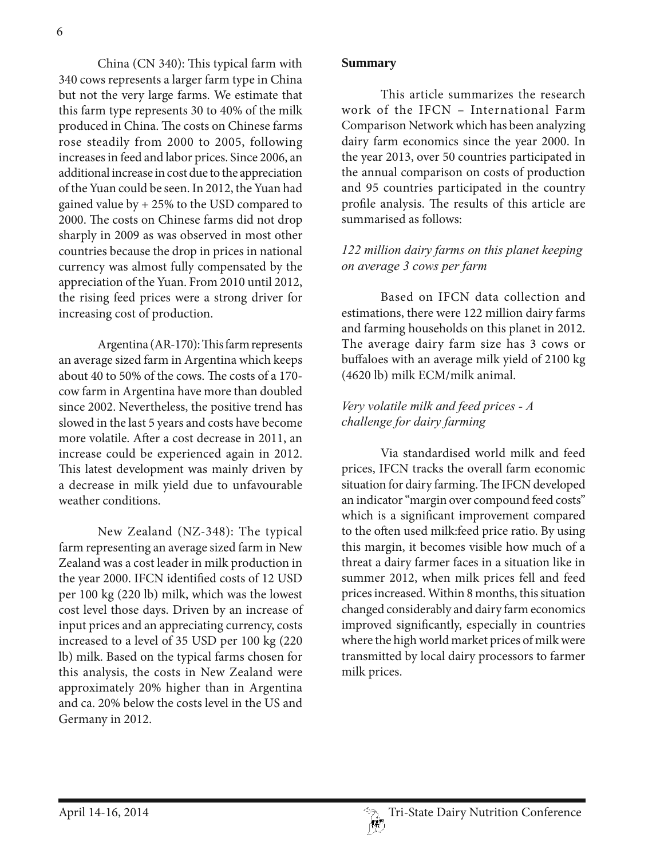6

China (CN 340): This typical farm with 340 cows represents a larger farm type in China but not the very large farms. We estimate that this farm type represents 30 to 40% of the milk produced in China. The costs on Chinese farms rose steadily from 2000 to 2005, following increases in feed and labor prices. Since 2006, an additional increase in cost due to the appreciation of the Yuan could be seen. In 2012, the Yuan had gained value by + 25% to the USD compared to 2000. The costs on Chinese farms did not drop sharply in 2009 as was observed in most other countries because the drop in prices in national currency was almost fully compensated by the appreciation of the Yuan. From 2010 until 2012, the rising feed prices were a strong driver for increasing cost of production.

Argentina (AR-170): This farm represents an average sized farm in Argentina which keeps about 40 to 50% of the cows. The costs of a 170 cow farm in Argentina have more than doubled since 2002. Nevertheless, the positive trend has slowed in the last 5 years and costs have become more volatile. After a cost decrease in 2011, an increase could be experienced again in 2012. This latest development was mainly driven by a decrease in milk yield due to unfavourable weather conditions.

New Zealand (NZ-348): The typical farm representing an average sized farm in New Zealand was a cost leader in milk production in the year 2000. IFCN identified costs of 12 USD per 100 kg (220 lb) milk, which was the lowest cost level those days. Driven by an increase of input prices and an appreciating currency, costs increased to a level of 35 USD per 100 kg (220 lb) milk. Based on the typical farms chosen for this analysis, the costs in New Zealand were approximately 20% higher than in Argentina and ca. 20% below the costs level in the US and Germany in 2012.

#### **Summary**

This article summarizes the research work of the IFCN – International Farm Comparison Network which has been analyzing dairy farm economics since the year 2000. In the year 2013, over 50 countries participated in the annual comparison on costs of production and 95 countries participated in the country profile analysis. The results of this article are summarised as follows:

#### *122 million dairy farms on this planet keeping on average 3 cows per farm*

Based on IFCN data collection and estimations, there were 122 million dairy farms and farming households on this planet in 2012. The average dairy farm size has 3 cows or buffaloes with an average milk yield of 2100 kg (4620 lb) milk ECM/milk animal.

### *Very volatile milk and feed prices - A challenge for dairy farming*

Via standardised world milk and feed prices, IFCN tracks the overall farm economic situation for dairy farming. The IFCN developed an indicator "margin over compound feed costs" which is a significant improvement compared to the often used milk:feed price ratio. By using this margin, it becomes visible how much of a threat a dairy farmer faces in a situation like in summer 2012, when milk prices fell and feed prices increased. Within 8 months, this situation changed considerably and dairy farm economics improved significantly, especially in countries where the high world market prices of milk were transmitted by local dairy processors to farmer milk prices.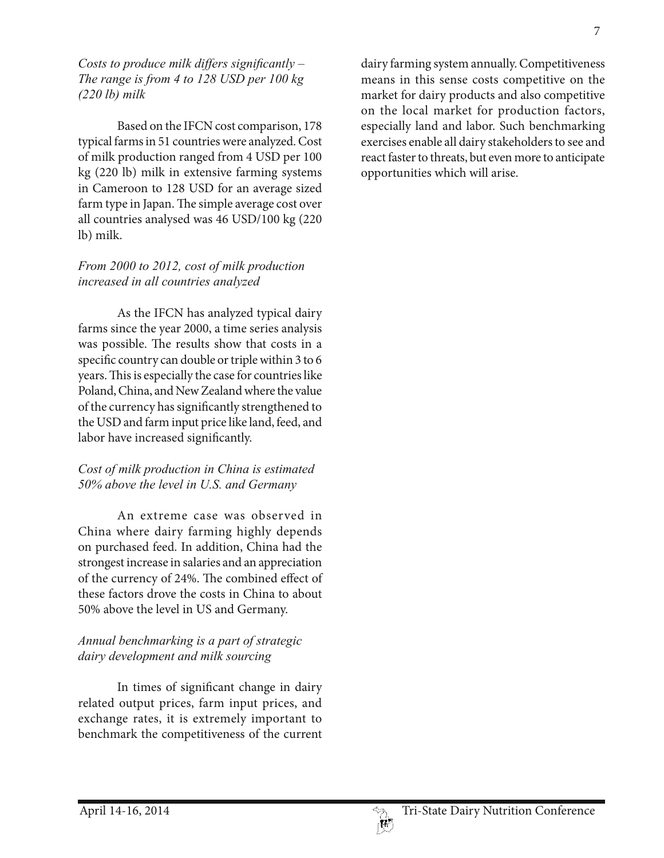#### *Costs to produce milk differs significantly – The range is from 4 to 128 USD per 100 kg (220 lb) milk*

Based on the IFCN cost comparison, 178 typical farms in 51 countries were analyzed. Cost of milk production ranged from 4 USD per 100 kg (220 lb) milk in extensive farming systems in Cameroon to 128 USD for an average sized farm type in Japan. The simple average cost over all countries analysed was 46 USD/100 kg (220 lb) milk.

# *From 2000 to 2012, cost of milk production increased in all countries analyzed*

As the IFCN has analyzed typical dairy farms since the year 2000, a time series analysis was possible. The results show that costs in a specific country can double or triple within 3 to 6 years. This is especially the case for countries like Poland, China, and New Zealand where the value of the currency has significantly strengthened to the USD and farm input price like land, feed, and labor have increased significantly.

# *Cost of milk production in China is estimated 50% above the level in U.S. and Germany*

An extreme case was observed in China where dairy farming highly depends on purchased feed. In addition, China had the strongest increase in salaries and an appreciation of the currency of 24%. The combined effect of these factors drove the costs in China to about 50% above the level in US and Germany.

# *Annual benchmarking is a part of strategic dairy development and milk sourcing*

In times of significant change in dairy related output prices, farm input prices, and exchange rates, it is extremely important to benchmark the competitiveness of the current dairy farming system annually. Competitiveness means in this sense costs competitive on the market for dairy products and also competitive on the local market for production factors, especially land and labor. Such benchmarking exercises enable all dairy stakeholders to see and react faster to threats, but even more to anticipate opportunities which will arise.

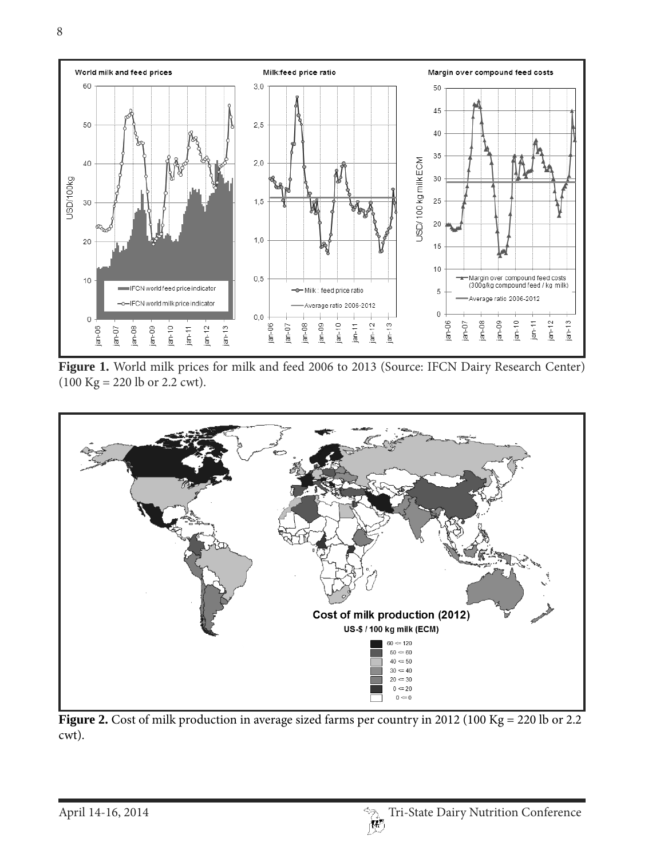

**Figure 1.** World milk prices for milk and feed 2006 to 2013 (Source: IFCN Dairy Research Center) (100 Kg = 220 lb or 2.2 cwt).



Figure 2. Cost of milk production in average sized farms per country in 2012 (100 Kg = 220 lb or 2.2 cwt).